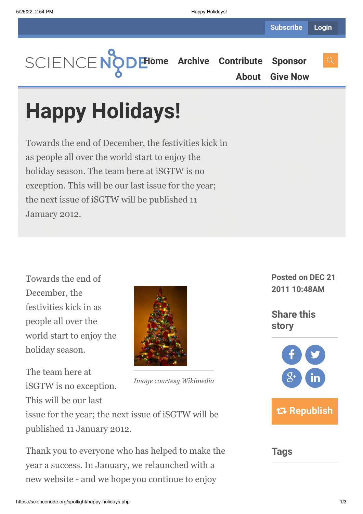**[Home](https://sciencenode.org/) [Archive](https://sciencenode.org/archive/index.php) [Contribute](https://sciencenode.org/contribute/index.php) [Sponsor](https://sciencenode.org/sponsor/index.php) [About](https://sciencenode.org/about/index.php) [Give Now](https://sciencenode.org/donate/index.php)**

# **Happy Holidays!**

Towards the end of December, the festivities kick in as people all over the world start to enjoy the holiday season. The team here at iSGTW is no exception. This will be our last issue for the year; the next issue of iSGTW will be published 11 January 2012.

Towards the end of December, the festivities kick in as people all over the world start to enjoy the holiday season.

*Image courtesy Wikimedia* The team here at iSGTW is no exception. This will be our last issue for the year; the next issue of iSGTW will be

published 11 January 2012.

Thank you to everyone who has helped to make the year a success. In January, we relaunched with a new website - and we hope you continue to enjoy

**Posted on DEC 21 2011 10:48AM**

**Share this story**



## **Tags**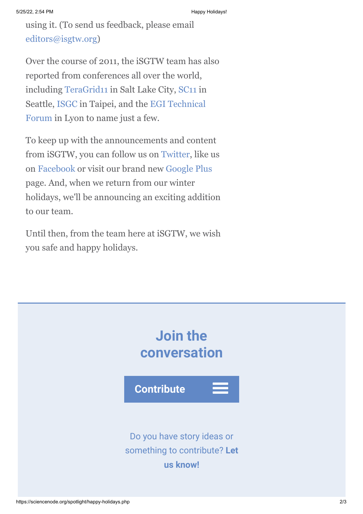using it. (To send us feedback, please email [editors@isgtw.org](mailto:editors@isgtw.org))

Over the course of 2011, the iSGTW team has also reported from conferences all over the world, including [TeraGrid11](http://www.isgtw.org/feature/extreme-science) in Salt Lake City, [SC11](http://www.isgtw.org/visualization/isgtw-goes-sc11) in [Seattle, ISGC in Taipei, and the EGI Technical](http://www.isgtw.org/feature/48-hour-grid-security-challenge) Forum in Lyon to name just a few.

To keep up with the announcements and content from iSGTW, you can follow us on [Twitter](http://www.facebook.com/pages/International-Science-Grid-This-Week/141926395796), like us on [Facebook](http://www.facebook.com/pages/International-Science-Grid-This-Week/141926395796) or visit our brand new [Google Plus](https://plus.google.com/u/0/100076081909774278210/posts) page. And, when we return from our winter holidays, we'll be announcing an exciting addition to our team.

Until then, from the team here at iSGTW, we wish you safe and happy holidays.